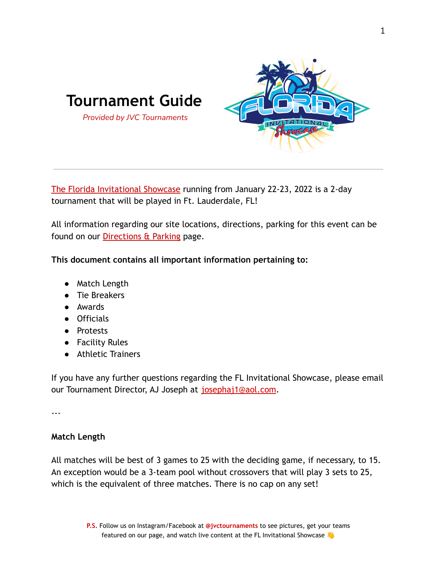

[The Florida Invitational Showcase](https://jvctournaments.com/FLInvitationalShowcase) running from January 22-23, 2022 is a 2-day tournament that will be played in Ft. Lauderdale, FL!

All information regarding our site locations, directions, parking for this event can be found on our [Directions & Parking](https://jvctournaments.com/FLInvitationalDirections-Parking) page.

**This document contains all important information pertaining to:**

- Match Length
- Tie Breakers
- Awards
- Officials
- Protests
- Facility Rules
- Athletic Trainers

If you have any further questions regarding the FL Invitational Showcase, please email our Tournament Director, AJ Joseph at [josephaj1@aol.com](mailto:josephaj1@aol.com).

---

### **Match Length**

All matches will be best of 3 games to 25 with the deciding game, if necessary, to 15. An exception would be a 3-team pool without crossovers that will play 3 sets to 25, which is the equivalent of three matches. There is no cap on any set!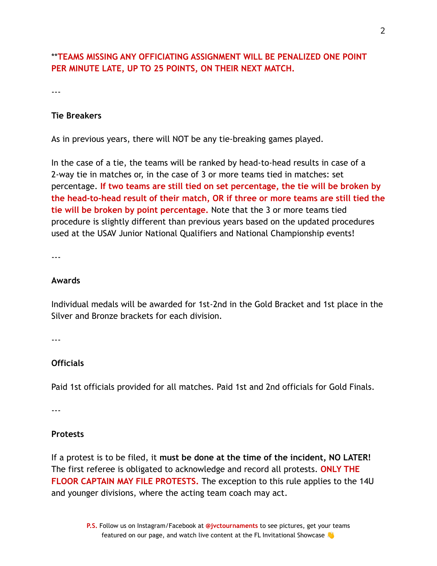# \*\***TEAMS MISSING ANY OFFICIATING ASSIGNMENT WILL BE PENALIZED ONE POINT PER MINUTE LATE, UP TO 25 POINTS, ON THEIR NEXT MATCH.**

---

#### **Tie Breakers**

As in previous years, there will NOT be any tie-breaking games played.

In the case of a tie, the teams will be ranked by head-to-head results in case of a 2-way tie in matches or, in the case of 3 or more teams tied in matches: set percentage. **If two teams are still tied on set percentage, the tie will be broken by the head-to-head result of their match, OR if three or more teams are still tied the tie will be broken by point percentage.** Note that the 3 or more teams tied procedure is slightly different than previous years based on the updated procedures used at the USAV Junior National Qualifiers and National Championship events!

---

#### **Awards**

Individual medals will be awarded for 1st-2nd in the Gold Bracket and 1st place in the Silver and Bronze brackets for each division.

---

#### **Officials**

Paid 1st officials provided for all matches. Paid 1st and 2nd officials for Gold Finals.

---

#### **Protests**

If a protest is to be filed, it **must be done at the time of the incident, NO LATER!** The first referee is obligated to acknowledge and record all protests. **ONLY THE FLOOR CAPTAIN MAY FILE PROTESTS.** The exception to this rule applies to the 14U and younger divisions, where the acting team coach may act.